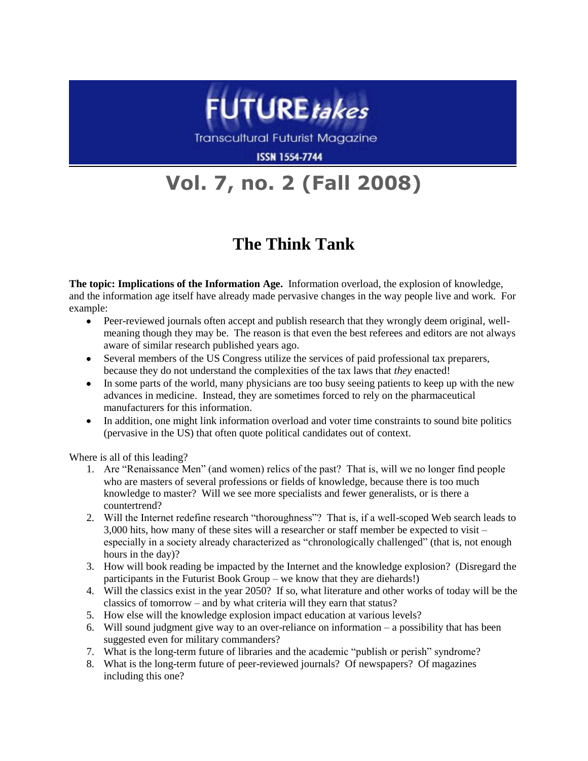

**Transcultural Futurist Magazine** 

**ISSN 1554-7744** 

## **Vol. 7, no. 2 (Fall 2008)**

## **The Think Tank**

**The topic: Implications of the Information Age.** Information overload, the explosion of knowledge, and the information age itself have already made pervasive changes in the way people live and work. For example:

- $\bullet$ Peer-reviewed journals often accept and publish research that they wrongly deem original, wellmeaning though they may be. The reason is that even the best referees and editors are not always aware of similar research published years ago.
- Several members of the US Congress utilize the services of paid professional tax preparers, because they do not understand the complexities of the tax laws that *they* enacted!
- In some parts of the world, many physicians are too busy seeing patients to keep up with the new  $\bullet$ advances in medicine. Instead, they are sometimes forced to rely on the pharmaceutical manufacturers for this information.
- In addition, one might link information overload and voter time constraints to sound bite politics  $\bullet$ (pervasive in the US) that often quote political candidates out of context.

Where is all of this leading?

- 1. Are "Renaissance Men" (and women) relics of the past? That is, will we no longer find people who are masters of several professions or fields of knowledge, because there is too much knowledge to master? Will we see more specialists and fewer generalists, or is there a countertrend?
- 2. Will the Internet redefine research "thoroughness"? That is, if a well-scoped Web search leads to 3,000 hits, how many of these sites will a researcher or staff member be expected to visit – especially in a society already characterized as "chronologically challenged" (that is, not enough hours in the day)?
- 3. How will book reading be impacted by the Internet and the knowledge explosion? (Disregard the participants in the Futurist Book Group – we know that they are diehards!)
- 4. Will the classics exist in the year 2050? If so, what literature and other works of today will be the classics of tomorrow – and by what criteria will they earn that status?
- 5. How else will the knowledge explosion impact education at various levels?
- 6. Will sound judgment give way to an over-reliance on information a possibility that has been suggested even for military commanders?
- 7. What is the long-term future of libraries and the academic "publish or perish" syndrome?
- 8. What is the long-term future of peer-reviewed journals? Of newspapers? Of magazines including this one?